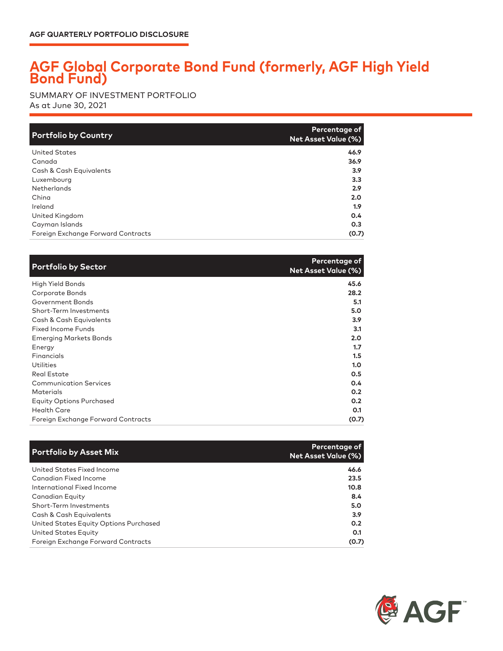## **AGF Global Corporate Bond Fund (formerly, AGF High Yield Bond Fund)**

As at June 30, 2021 SUMMARY OF INVESTMENT PORTFOLIO

| <b>Portfolio by Country</b>        | Percentage of<br>Net Asset Value (%) |
|------------------------------------|--------------------------------------|
| <b>United States</b>               | 46.9                                 |
| Canada                             | 36.9                                 |
| Cash & Cash Equivalents            | 3.9                                  |
| Luxembourg                         | 3.3                                  |
| Netherlands                        | 2.9                                  |
| China                              | 2.0                                  |
| Ireland                            | 1.9                                  |
| United Kingdom                     | 0.4                                  |
| Cayman Islands                     | O.3                                  |
| Foreign Exchange Forward Contracts | (0.7)                                |

| <b>Portfolio by Sector</b>         | Percentage of<br><b>Net Asset Value (%)</b> |
|------------------------------------|---------------------------------------------|
| High Yield Bonds                   | 45.6                                        |
| Corporate Bonds                    | 28.2                                        |
| Government Bonds                   | 5.1                                         |
| Short-Term Investments             | 5.0                                         |
| Cash & Cash Equivalents            | 3.9 <sub>2</sub>                            |
| Fixed Income Funds                 | 3.1                                         |
| <b>Emerging Markets Bonds</b>      | 2.0                                         |
| Energy                             | 1.7                                         |
| Financials                         | 1.5                                         |
| Utilities                          | 1.0                                         |
| Real Estate                        | 0.5                                         |
| <b>Communication Services</b>      | 0.4                                         |
| Materials                          | 0.2                                         |
| <b>Equity Options Purchased</b>    | 0.2                                         |
| <b>Health Care</b>                 | 0.1                                         |
| Foreign Exchange Forward Contracts | (0.7)                                       |

| <b>Portfolio by Asset Mix</b>          | Percentage of<br><b>Net Asset Value (%)</b> |
|----------------------------------------|---------------------------------------------|
| United States Fixed Income             | 46.6                                        |
| Canadian Fixed Income                  | 23.5                                        |
| International Fixed Income             | 10.8                                        |
| Canadian Equity                        | 8.4                                         |
| Short-Term Investments                 | 5.0                                         |
| Cash & Cash Equivalents                | 3.9                                         |
| United States Equity Options Purchased | 0.2                                         |
| United States Equity                   | O.1                                         |
| Foreign Exchange Forward Contracts     | (0.7)                                       |